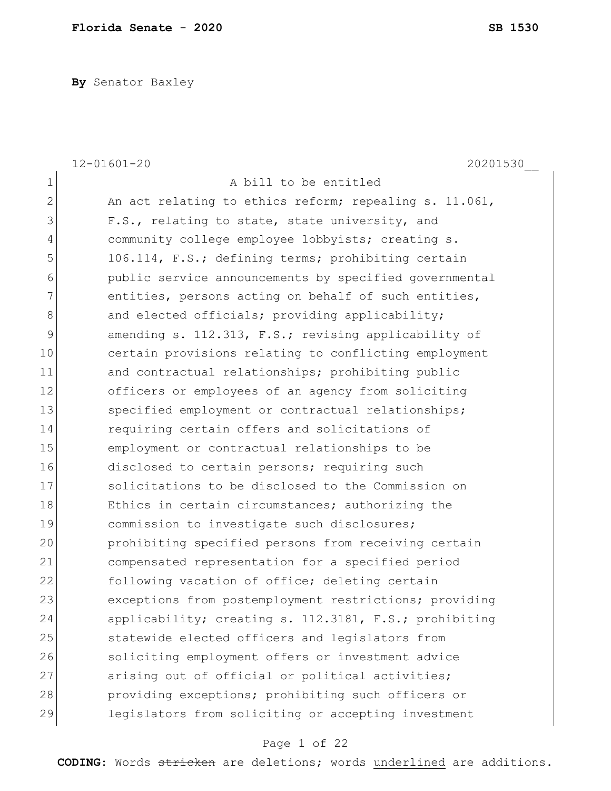**By** Senator Baxley

|                | $12 - 01601 - 20$<br>20201530                          |
|----------------|--------------------------------------------------------|
| $\mathbf 1$    | A bill to be entitled                                  |
| $\overline{2}$ | An act relating to ethics reform; repealing s. 11.061, |
| 3              | F.S., relating to state, state university, and         |
| 4              | community college employee lobbyists; creating s.      |
| 5              | 106.114, F.S.; defining terms; prohibiting certain     |
| 6              | public service announcements by specified governmental |
| 7              | entities, persons acting on behalf of such entities,   |
| 8              | and elected officials; providing applicability;        |
| 9              | amending s. 112.313, F.S.; revising applicability of   |
| 10             | certain provisions relating to conflicting employment  |
| 11             | and contractual relationships; prohibiting public      |
| 12             | officers or employees of an agency from soliciting     |
| 13             | specified employment or contractual relationships;     |
| 14             | requiring certain offers and solicitations of          |
| 15             | employment or contractual relationships to be          |
| 16             | disclosed to certain persons; requiring such           |
| 17             | solicitations to be disclosed to the Commission on     |
| 18             | Ethics in certain circumstances; authorizing the       |
| 19             | commission to investigate such disclosures;            |
| 20             | prohibiting specified persons from receiving certain   |
| 21             | compensated representation for a specified period      |
| 22             | following vacation of office; deleting certain         |
| 23             | exceptions from postemployment restrictions; providing |
| 24             | applicability; creating s. 112.3181, F.S.; prohibiting |
| 25             | statewide elected officers and legislators from        |
| 26             | soliciting employment offers or investment advice      |
| 27             | arising out of official or political activities;       |
| 28             | providing exceptions; prohibiting such officers or     |
| 29             | legislators from soliciting or accepting investment    |

# Page 1 of 22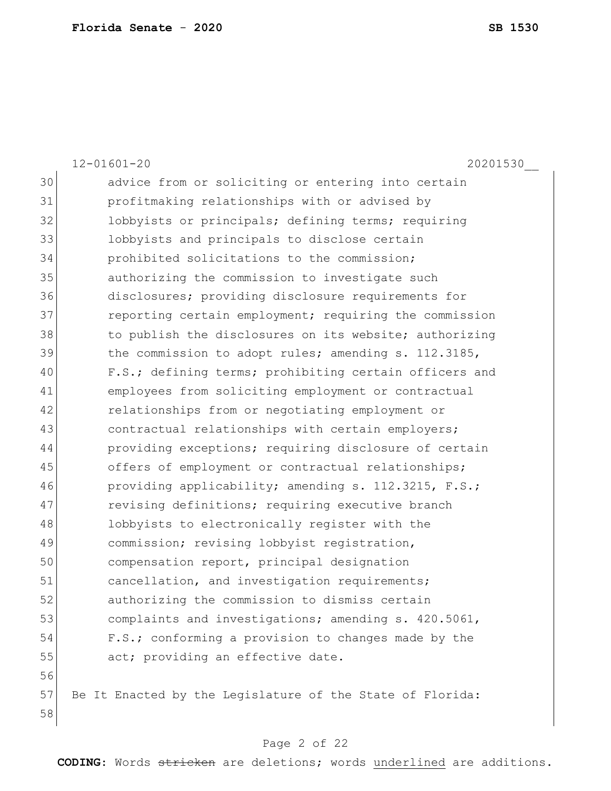|    | $12 - 01601 - 20$<br>20201530                             |
|----|-----------------------------------------------------------|
| 30 | advice from or soliciting or entering into certain        |
| 31 | profitmaking relationships with or advised by             |
| 32 | lobbyists or principals; defining terms; requiring        |
| 33 | lobbyists and principals to disclose certain              |
| 34 | prohibited solicitations to the commission;               |
| 35 | authorizing the commission to investigate such            |
| 36 | disclosures; providing disclosure requirements for        |
| 37 | reporting certain employment; requiring the commission    |
| 38 | to publish the disclosures on its website; authorizing    |
| 39 | the commission to adopt rules; amending s. 112.3185,      |
| 40 | F.S.; defining terms; prohibiting certain officers and    |
| 41 | employees from soliciting employment or contractual       |
| 42 | relationships from or negotiating employment or           |
| 43 | contractual relationships with certain employers;         |
| 44 | providing exceptions; requiring disclosure of certain     |
| 45 | offers of employment or contractual relationships;        |
| 46 | providing applicability; amending s. 112.3215, F.S.;      |
| 47 | revising definitions; requiring executive branch          |
| 48 | lobbyists to electronically register with the             |
| 49 | commission; revising lobbyist registration,               |
| 50 | compensation report, principal designation                |
| 51 | cancellation, and investigation requirements;             |
| 52 | authorizing the commission to dismiss certain             |
| 53 | complaints and investigations; amending s. 420.5061,      |
| 54 | F.S.; conforming a provision to changes made by the       |
| 55 | act; providing an effective date.                         |
| 56 |                                                           |
| 57 | Be It Enacted by the Legislature of the State of Florida: |
| 58 |                                                           |

# Page 2 of 22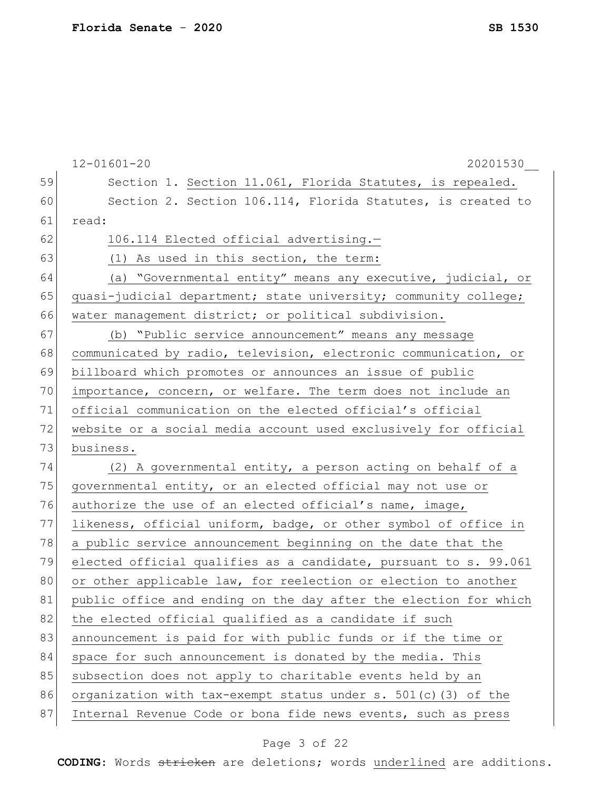|    | $12 - 01601 - 20$<br>20201530                                    |
|----|------------------------------------------------------------------|
| 59 | Section 1. Section 11.061, Florida Statutes, is repealed.        |
| 60 | Section 2. Section 106.114, Florida Statutes, is created to      |
| 61 | read:                                                            |
| 62 | 106.114 Elected official advertising.-                           |
| 63 | (1) As used in this section, the term:                           |
| 64 | (a) "Governmental entity" means any executive, judicial, or      |
| 65 | quasi-judicial department; state university; community college;  |
| 66 | water management district; or political subdivision.             |
| 67 | (b) "Public service announcement" means any message              |
| 68 | communicated by radio, television, electronic communication, or  |
| 69 | billboard which promotes or announces an issue of public         |
| 70 | importance, concern, or welfare. The term does not include an    |
| 71 | official communication on the elected official's official        |
| 72 | website or a social media account used exclusively for official  |
| 73 | business.                                                        |
| 74 | (2) A governmental entity, a person acting on behalf of a        |
| 75 | governmental entity, or an elected official may not use or       |
| 76 | authorize the use of an elected official's name, image,          |
| 77 | likeness, official uniform, badge, or other symbol of office in  |
| 78 | a public service announcement beginning on the date that the     |
| 79 | elected official qualifies as a candidate, pursuant to s. 99.061 |
| 80 | or other applicable law, for reelection or election to another   |
| 81 | public office and ending on the day after the election for which |
| 82 | the elected official qualified as a candidate if such            |
| 83 | announcement is paid for with public funds or if the time or     |
| 84 | space for such announcement is donated by the media. This        |
| 85 | subsection does not apply to charitable events held by an        |
| 86 | organization with tax-exempt status under s. $501(c)$ (3) of the |
| 87 | Internal Revenue Code or bona fide news events, such as press    |

# Page 3 of 22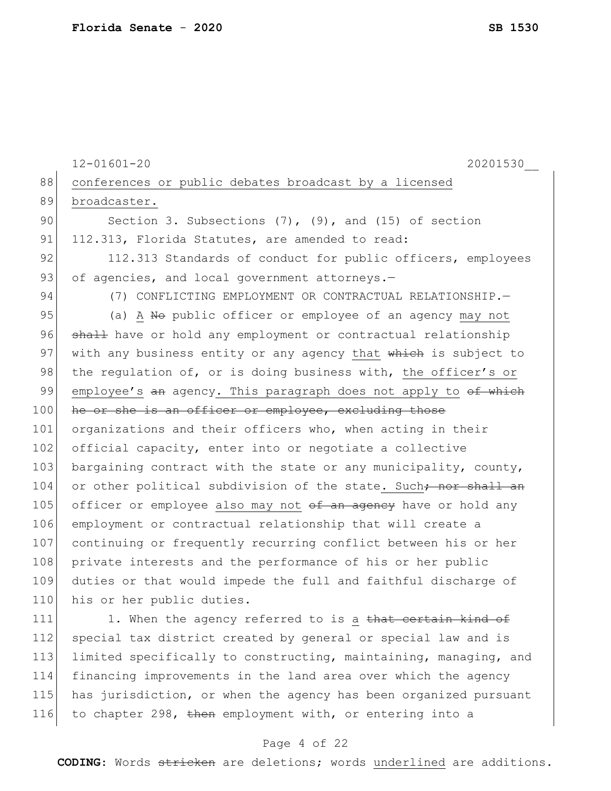```
12-01601-20 20201530__
88 conferences or public debates broadcast by a licensed
89 broadcaster.
90 Section 3. Subsections (7), (9), and (15) of section
91 112.313, Florida Statutes, are amended to read:
92 112.313 Standards of conduct for public officers, employees
93 of agencies, and local government attorneys.-
94 (7) CONFLICTING EMPLOYMENT OR CONTRACTUAL RELATIONSHIP.
95 (a) A No public officer or employee of an agency may not
96 shall have or hold any employment or contractual relationship
97 with any business entity or any agency that which is subject to
98 the regulation of, or is doing business with, the officer's or
99 employee's an agency. This paragraph does not apply to of which
100 he or she is an officer or employee, excluding those
101 organizations and their officers who, when acting in their
102 official capacity, enter into or negotiate a collective
103 bargaining contract with the state or any municipality, county,
104 or other political subdivision of the state. Such<del>; nor shall an</del>
105 officer or employee also may not of an agency have or hold any
106 employment or contractual relationship that will create a 
107 continuing or frequently recurring conflict between his or her
108 private interests and the performance of his or her public
109 duties or that would impede the full and faithful discharge of 
110 his or her public duties.
111 1. When the agency referred to is a that certain kind of
112 special tax district created by general or special law and is 
113 limited specifically to constructing, maintaining, managing, and
```
114 financing improvements in the land area over which the agency 115 has jurisdiction, or when the agency has been organized pursuant 116 to chapter 298, then employment with, or entering into a

#### Page 4 of 22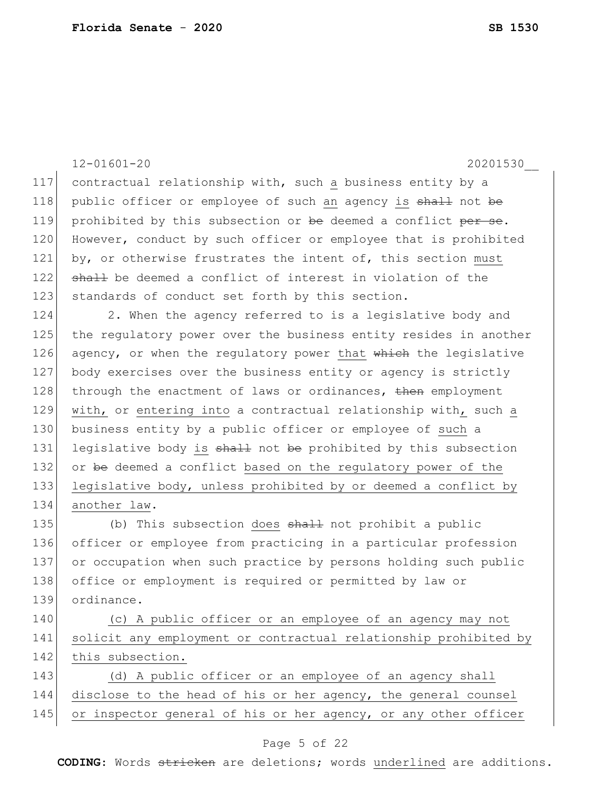|     | $12 - 01601 - 20$<br>20201530                                    |
|-----|------------------------------------------------------------------|
| 117 | contractual relationship with, such a business entity by a       |
| 118 | public officer or employee of such an agency is shall not be     |
| 119 |                                                                  |
|     | prohibited by this subsection or be deemed a conflict per se.    |
| 120 | However, conduct by such officer or employee that is prohibited  |
| 121 | by, or otherwise frustrates the intent of, this section must     |
| 122 | shall be deemed a conflict of interest in violation of the       |
| 123 | standards of conduct set forth by this section.                  |
| 124 | 2. When the agency referred to is a legislative body and         |
| 125 | the regulatory power over the business entity resides in another |
| 126 | agency, or when the regulatory power that which the legislative  |
| 127 | body exercises over the business entity or agency is strictly    |
| 128 | through the enactment of laws or ordinances, then employment     |
| 129 | with, or entering into a contractual relationship with, such a   |
| 130 | business entity by a public officer or employee of such a        |
| 131 | legislative body is shall not be prohibited by this subsection   |
| 132 | or be deemed a conflict based on the regulatory power of the     |
| 133 | legislative body, unless prohibited by or deemed a conflict by   |
| 134 | another law.                                                     |
| 135 | (b) This subsection does shall not prohibit a public             |
| 136 | officer or employee from practicing in a particular profession   |
| 137 | or occupation when such practice by persons holding such public  |
| 138 | office or employment is required or permitted by law or          |
| 139 | ordinance.                                                       |
| 140 | (c) A public officer or an employee of an agency may not         |
| 141 | solicit any employment or contractual relationship prohibited by |
| 142 | this subsection.                                                 |
| 143 | (d) A public officer or an employee of an agency shall           |
| 144 | disclose to the head of his or her agency, the general counsel   |
| 145 | or inspector general of his or her agency, or any other officer  |
|     |                                                                  |

#### Page 5 of 22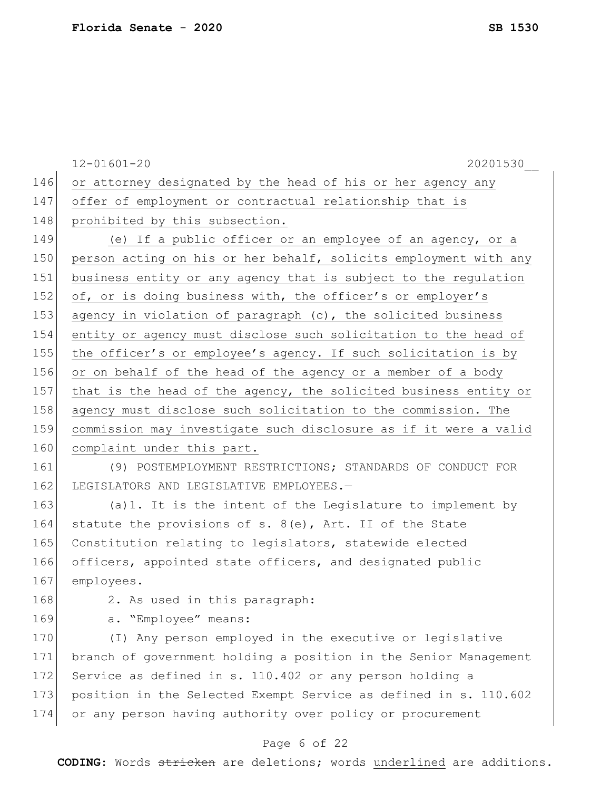|     | $12 - 01601 - 20$<br>20201530                                    |
|-----|------------------------------------------------------------------|
| 146 | or attorney designated by the head of his or her agency any      |
| 147 | offer of employment or contractual relationship that is          |
| 148 | prohibited by this subsection.                                   |
| 149 | (e) If a public officer or an employee of an agency, or a        |
| 150 | person acting on his or her behalf, solicits employment with any |
| 151 | business entity or any agency that is subject to the regulation  |
| 152 | of, or is doing business with, the officer's or employer's       |
| 153 | agency in violation of paragraph (c), the solicited business     |
| 154 | entity or agency must disclose such solicitation to the head of  |
| 155 | the officer's or employee's agency. If such solicitation is by   |
| 156 | or on behalf of the head of the agency or a member of a body     |
| 157 | that is the head of the agency, the solicited business entity or |
| 158 | agency must disclose such solicitation to the commission. The    |
| 159 | commission may investigate such disclosure as if it were a valid |
| 160 | complaint under this part.                                       |
| 161 | (9) POSTEMPLOYMENT RESTRICTIONS; STANDARDS OF CONDUCT FOR        |
| 162 | LEGISLATORS AND LEGISLATIVE EMPLOYEES.-                          |
| 163 | (a) 1. It is the intent of the Legislature to implement by       |
| 164 | statute the provisions of s. $8(e)$ , Art. II of the State       |
| 165 | Constitution relating to legislators, statewide elected          |
| 166 | officers, appointed state officers, and designated public        |
| 167 | employees.                                                       |
| 168 | 2. As used in this paragraph:                                    |
| 169 | a. "Employee" means:                                             |
| 170 | (I) Any person employed in the executive or legislative          |
| 171 | branch of government holding a position in the Senior Management |
| 172 | Service as defined in s. 110.402 or any person holding a         |
| 173 | position in the Selected Exempt Service as defined in s. 110.602 |
| 174 | or any person having authority over policy or procurement        |
|     |                                                                  |

# Page 6 of 22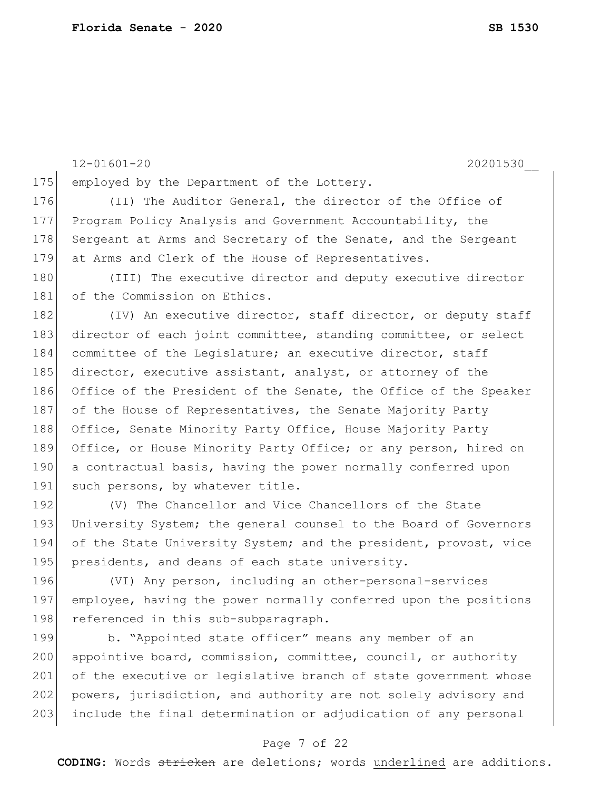12-01601-20 20201530\_\_ 175 employed by the Department of the Lottery. 176 (II) The Auditor General, the director of the Office of 177 Program Policy Analysis and Government Accountability, the 178 Sergeant at Arms and Secretary of the Senate, and the Sergeant 179 at Arms and Clerk of the House of Representatives. 180 (III) The executive director and deputy executive director 181 of the Commission on Ethics. 182 (IV) An executive director, staff director, or deputy staff 183 director of each joint committee, standing committee, or select 184 committee of the Legislature; an executive director, staff 185 director, executive assistant, analyst, or attorney of the 186 Office of the President of the Senate, the Office of the Speaker 187 of the House of Representatives, the Senate Majority Party 188 Office, Senate Minority Party Office, House Majority Party 189 Office, or House Minority Party Office; or any person, hired on 190 a contractual basis, having the power normally conferred upon 191 such persons, by whatever title. 192 (V) The Chancellor and Vice Chancellors of the State 193 University System; the general counsel to the Board of Governors 194 of the State University System; and the president, provost, vice 195 presidents, and deans of each state university. 196 (VI) Any person, including an other-personal-services 197 employee, having the power normally conferred upon the positions 198 referenced in this sub-subparagraph. 199 b. "Appointed state officer" means any member of an 200 appointive board, commission, committee, council, or authority 201 of the executive or legislative branch of state government whose 202 powers, jurisdiction, and authority are not solely advisory and

#### Page 7 of 22

203 include the final determination or adjudication of any personal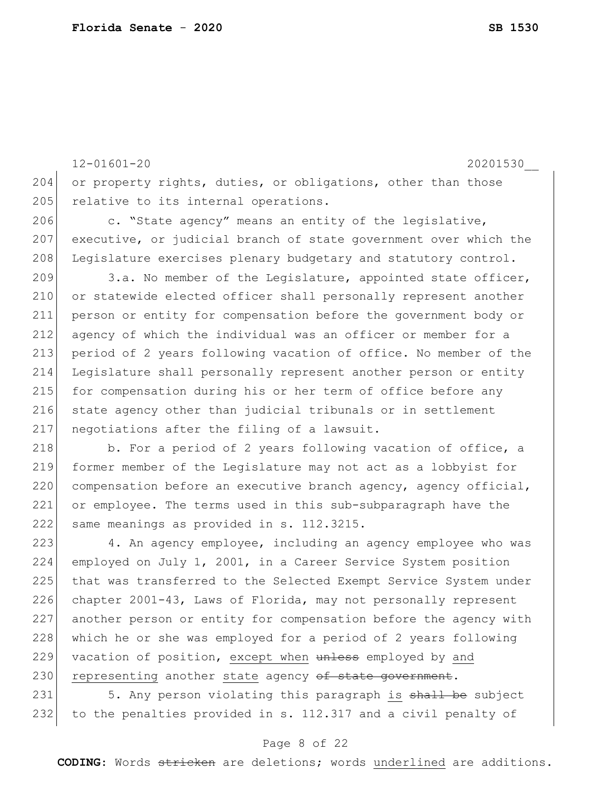12-01601-20 20201530\_\_ 204 or property rights, duties, or obligations, other than those 205 relative to its internal operations. 206 c. "State agency" means an entity of the legislative, 207 executive, or judicial branch of state government over which the 208 Legislature exercises plenary budgetary and statutory control. 209 3.a. No member of the Legislature, appointed state officer, 210 or statewide elected officer shall personally represent another 211 person or entity for compensation before the government body or 212 agency of which the individual was an officer or member for a 213 period of 2 years following vacation of office. No member of the 214 Legislature shall personally represent another person or entity 215 for compensation during his or her term of office before any 216 state agency other than judicial tribunals or in settlement 217 negotiations after the filing of a lawsuit.

218 b. For a period of 2 years following vacation of office, a 219 former member of the Legislature may not act as a lobbyist for 220 compensation before an executive branch agency, agency official, 221 or employee. The terms used in this sub-subparagraph have the 222 same meanings as provided in s. 112.3215.

223 4. An agency employee, including an agency employee who was 224 employed on July 1, 2001, in a Career Service System position 225 that was transferred to the Selected Exempt Service System under 226 chapter 2001-43, Laws of Florida, may not personally represent 227 another person or entity for compensation before the agency with 228 which he or she was employed for a period of 2 years following 229 vacation of position, except when unless employed by and 230 representing another state agency of state government.

231 5. Any person violating this paragraph is shall be subject 232 to the penalties provided in s. 112.317 and a civil penalty of

#### Page 8 of 22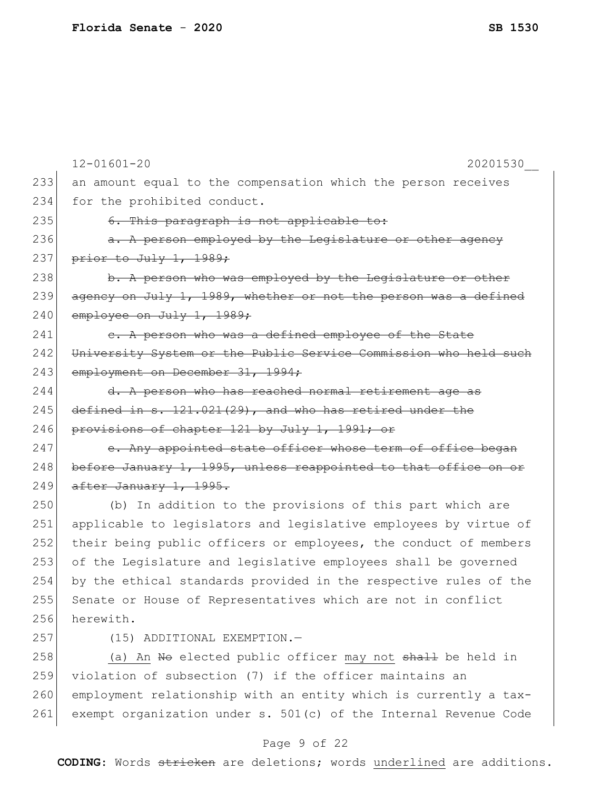|     | $12 - 01601 - 20$<br>20201530                                    |
|-----|------------------------------------------------------------------|
| 233 | an amount equal to the compensation which the person receives    |
| 234 | for the prohibited conduct.                                      |
| 235 | 6. This paragraph is not applicable to:                          |
| 236 | a. A person employed by the Legislature or other agency          |
| 237 | prior to July 1, 1989;                                           |
| 238 | b. A person who was employed by the Legislature or other         |
| 239 | agency on July 1, 1989, whether or not the person was a defined  |
| 240 | employee on July 1, 1989;                                        |
| 241 | e. A person who was a defined employee of the State              |
| 242 | University System or the Public Service Commission who held such |
| 243 | employment on December 31, 1994;                                 |
| 244 | d. A person who has reached normal retirement age as             |
| 245 | defined in s. 121.021(29), and who has retired under the         |
| 246 | provisions of chapter 121 by July 1, 1991; or                    |
| 247 | e. Any appointed state officer whose term of office began        |
| 248 | before January 1, 1995, unless reappointed to that office on or  |
| 249 | after January 1, 1995.                                           |
| 250 | (b) In addition to the provisions of this part which are         |
| 251 | applicable to legislators and legislative employees by virtue of |
| 252 | their being public officers or employees, the conduct of members |
| 253 | of the Legislature and legislative employees shall be governed   |
| 254 | by the ethical standards provided in the respective rules of the |
| 255 | Senate or House of Representatives which are not in conflict     |
| 256 | herewith.                                                        |
| 257 | (15) ADDITIONAL EXEMPTION.-                                      |
| 258 | (a) An No elected public officer may not shall be held in        |
| 259 | violation of subsection (7) if the officer maintains an          |
| 260 | employment relationship with an entity which is currently a tax- |
| 261 | exempt organization under s. 501(c) of the Internal Revenue Code |
|     |                                                                  |

# Page 9 of 22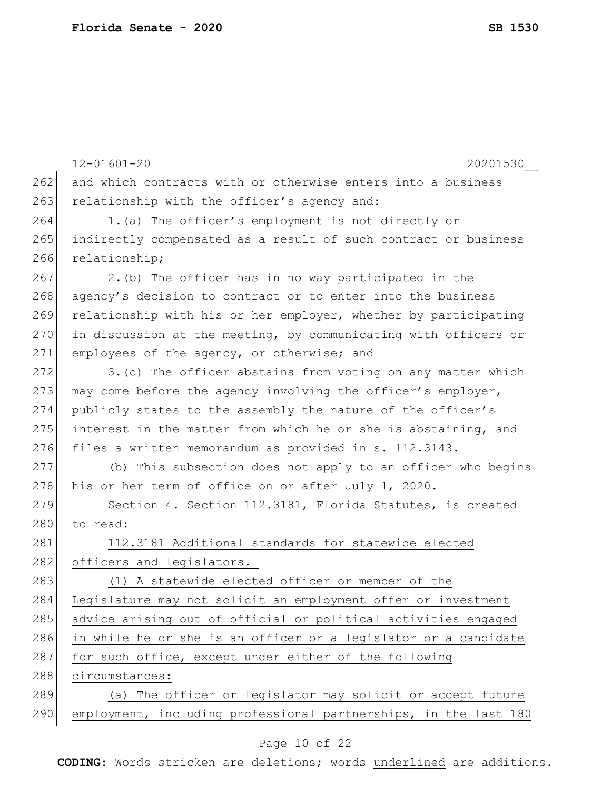|     | $12 - 01601 - 20$<br>20201530                                    |
|-----|------------------------------------------------------------------|
| 262 | and which contracts with or otherwise enters into a business     |
| 263 | relationship with the officer's agency and:                      |
| 264 | 1. (a) The officer's employment is not directly or               |
| 265 | indirectly compensated as a result of such contract or business  |
| 266 | relationship;                                                    |
| 267 | 2. (b) The officer has in no way participated in the             |
| 268 | agency's decision to contract or to enter into the business      |
| 269 | relationship with his or her employer, whether by participating  |
| 270 | in discussion at the meeting, by communicating with officers or  |
| 271 | employees of the agency, or otherwise; and                       |
| 272 | 3. (e) The officer abstains from voting on any matter which      |
| 273 | may come before the agency involving the officer's employer,     |
| 274 | publicly states to the assembly the nature of the officer's      |
| 275 | interest in the matter from which he or she is abstaining, and   |
| 276 | files a written memorandum as provided in s. 112.3143.           |
| 277 | (b) This subsection does not apply to an officer who begins      |
| 278 | his or her term of office on or after July 1, 2020.              |
| 279 | Section 4. Section 112.3181, Florida Statutes, is created        |
| 280 | to read:                                                         |
| 281 | 112.3181 Additional standards for statewide elected              |
| 282 | officers and legislators.-                                       |
| 283 | (1) A statewide elected officer or member of the                 |
| 284 | Legislature may not solicit an employment offer or investment    |
| 285 | advice arising out of official or political activities engaged   |
| 286 | in while he or she is an officer or a legislator or a candidate  |
| 287 | for such office, except under either of the following            |
| 288 | circumstances:                                                   |
| 289 | (a) The officer or legislator may solicit or accept future       |
| 290 | employment, including professional partnerships, in the last 180 |
|     |                                                                  |

### Page 10 of 22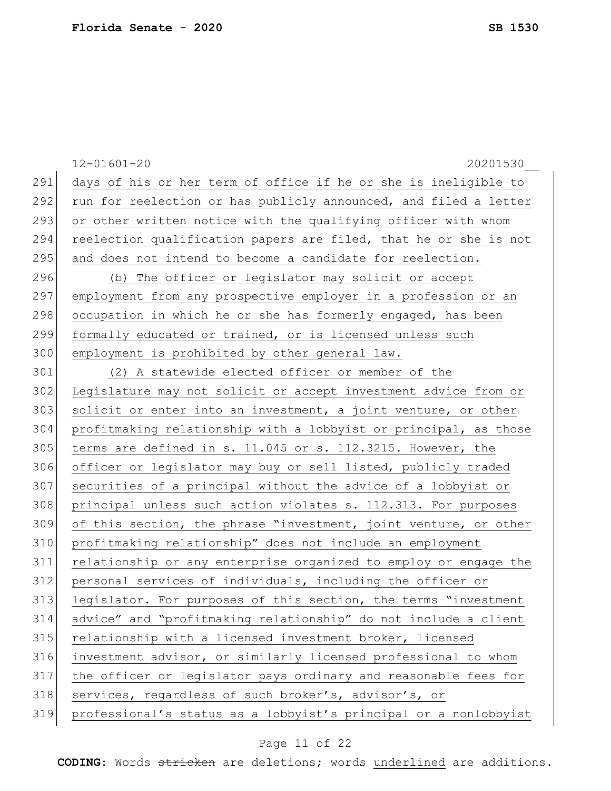|     | $12 - 01601 - 20$<br>20201530                                    |
|-----|------------------------------------------------------------------|
| 291 | days of his or her term of office if he or she is ineligible to  |
| 292 | run for reelection or has publicly announced, and filed a letter |
| 293 | or other written notice with the qualifying officer with whom    |
| 294 | reelection qualification papers are filed, that he or she is not |
| 295 | and does not intend to become a candidate for reelection.        |
| 296 | (b) The officer or legislator may solicit or accept              |
| 297 | employment from any prospective employer in a profession or an   |
| 298 | occupation in which he or she has formerly engaged, has been     |
| 299 | formally educated or trained, or is licensed unless such         |
| 300 | employment is prohibited by other general law.                   |
| 301 | (2) A statewide elected officer or member of the                 |
| 302 | Legislature may not solicit or accept investment advice from or  |
| 303 | solicit or enter into an investment, a joint venture, or other   |
| 304 | profitmaking relationship with a lobbyist or principal, as those |
| 305 | terms are defined in s. 11.045 or s. 112.3215. However, the      |
| 306 | officer or legislator may buy or sell listed, publicly traded    |
| 307 | securities of a principal without the advice of a lobbyist or    |
| 308 | principal unless such action violates s. 112.313. For purposes   |
| 309 | of this section, the phrase "investment, joint venture, or other |
| 310 | profitmaking relationship" does not include an employment        |
| 311 | relationship or any enterprise organized to employ or engage the |
| 312 | personal services of individuals, including the officer or       |
| 313 | legislator. For purposes of this section, the terms "investment  |
| 314 | advice" and "profitmaking relationship" do not include a client  |
| 315 | relationship with a licensed investment broker, licensed         |
| 316 | investment advisor, or similarly licensed professional to whom   |
| 317 | the officer or legislator pays ordinary and reasonable fees for  |
| 318 | services, regardless of such broker's, advisor's, or             |
| 319 | professional's status as a lobbyist's principal or a nonlobbyist |

# Page 11 of 22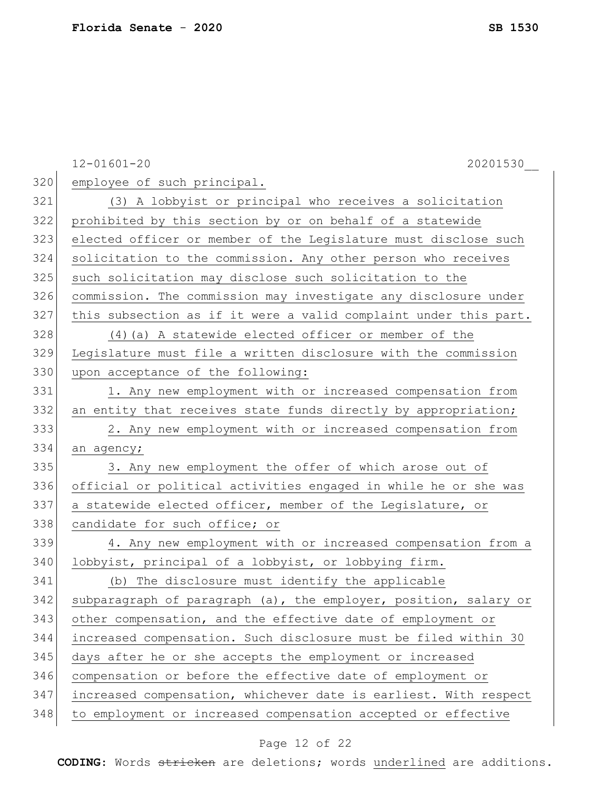|     | $12 - 01601 - 20$<br>20201530                                    |
|-----|------------------------------------------------------------------|
| 320 | employee of such principal.                                      |
| 321 | (3) A lobbyist or principal who receives a solicitation          |
| 322 | prohibited by this section by or on behalf of a statewide        |
| 323 | elected officer or member of the Legislature must disclose such  |
| 324 | solicitation to the commission. Any other person who receives    |
| 325 | such solicitation may disclose such solicitation to the          |
| 326 | commission. The commission may investigate any disclosure under  |
| 327 | this subsection as if it were a valid complaint under this part. |
| 328 | $(4)$ (a) A statewide elected officer or member of the           |
| 329 | Legislature must file a written disclosure with the commission   |
| 330 | upon acceptance of the following:                                |
| 331 | 1. Any new employment with or increased compensation from        |
| 332 | an entity that receives state funds directly by appropriation;   |
| 333 | 2. Any new employment with or increased compensation from        |
| 334 | an agency;                                                       |
| 335 | 3. Any new employment the offer of which arose out of            |
| 336 | official or political activities engaged in while he or she was  |
| 337 | a statewide elected officer, member of the Legislature, or       |
| 338 | candidate for such office; or                                    |
| 339 | 4. Any new employment with or increased compensation from a      |
| 340 | lobbyist, principal of a lobbyist, or lobbying firm.             |
| 341 | (b) The disclosure must identify the applicable                  |
| 342 | subparagraph of paragraph (a), the employer, position, salary or |
| 343 | other compensation, and the effective date of employment or      |
| 344 | increased compensation. Such disclosure must be filed within 30  |
| 345 | days after he or she accepts the employment or increased         |
| 346 | compensation or before the effective date of employment or       |
| 347 | increased compensation, whichever date is earliest. With respect |
| 348 | to employment or increased compensation accepted or effective    |

# Page 12 of 22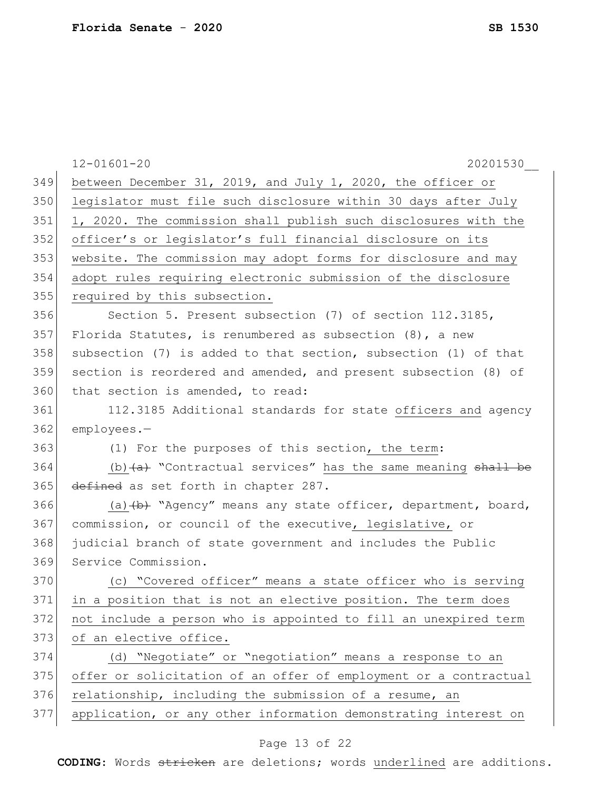|     | $12 - 01601 - 20$<br>20201530                                                          |
|-----|----------------------------------------------------------------------------------------|
| 349 | between December 31, 2019, and July 1, 2020, the officer or                            |
| 350 | legislator must file such disclosure within 30 days after July                         |
| 351 | 1, 2020. The commission shall publish such disclosures with the                        |
| 352 | officer's or legislator's full financial disclosure on its                             |
| 353 | website. The commission may adopt forms for disclosure and may                         |
| 354 | adopt rules requiring electronic submission of the disclosure                          |
| 355 | required by this subsection.                                                           |
| 356 | Section 5. Present subsection (7) of section 112.3185,                                 |
| 357 | Florida Statutes, is renumbered as subsection $(8)$ , a new                            |
| 358 | subsection (7) is added to that section, subsection (1) of that                        |
| 359 | section is reordered and amended, and present subsection (8) of                        |
| 360 | that section is amended, to read:                                                      |
| 361 | 112.3185 Additional standards for state officers and agency                            |
| 362 | employees.-                                                                            |
| 363 | (1) For the purposes of this section, the term:                                        |
| 364 | (b) $\overline{a}$ "Contractual services" has the same meaning $\overline{b}$ shall be |
| 365 | defined as set forth in chapter 287.                                                   |
| 366 | (a) (b) "Agency" means any state officer, department, board,                           |
| 367 | commission, or council of the executive, legislative, or                               |
| 368 | judicial branch of state government and includes the Public                            |
| 369 | Service Commission.                                                                    |
| 370 | (c) "Covered officer" means a state officer who is serving                             |
| 371 | in a position that is not an elective position. The term does                          |
| 372 | not include a person who is appointed to fill an unexpired term                        |
| 373 | of an elective office.                                                                 |
| 374 | (d) "Negotiate" or "negotiation" means a response to an                                |
| 375 | offer or solicitation of an offer of employment or a contractual                       |
| 376 | relationship, including the submission of a resume, an                                 |
| 377 | application, or any other information demonstrating interest on                        |

# Page 13 of 22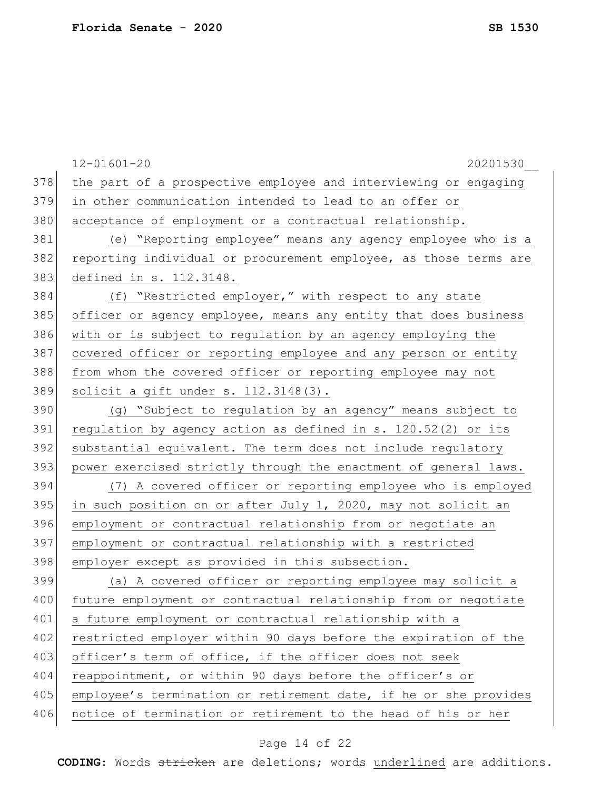|     | $12 - 01601 - 20$<br>20201530                                    |
|-----|------------------------------------------------------------------|
| 378 | the part of a prospective employee and interviewing or engaging  |
| 379 | in other communication intended to lead to an offer or           |
| 380 | acceptance of employment or a contractual relationship.          |
| 381 | (e) "Reporting employee" means any agency employee who is a      |
| 382 | reporting individual or procurement employee, as those terms are |
| 383 | defined in s. 112.3148.                                          |
| 384 | (f) "Restricted employer," with respect to any state             |
| 385 | officer or agency employee, means any entity that does business  |
| 386 | with or is subject to regulation by an agency employing the      |
| 387 | covered officer or reporting employee and any person or entity   |
| 388 | from whom the covered officer or reporting employee may not      |
| 389 | solicit a gift under s. 112.3148(3).                             |
| 390 | (g) "Subject to regulation by an agency" means subject to        |
| 391 | regulation by agency action as defined in s. 120.52(2) or its    |
| 392 | substantial equivalent. The term does not include requlatory     |
| 393 | power exercised strictly through the enactment of general laws.  |
| 394 | (7) A covered officer or reporting employee who is employed      |
| 395 | in such position on or after July 1, 2020, may not solicit an    |
| 396 | employment or contractual relationship from or negotiate an      |
| 397 | employment or contractual relationship with a restricted         |
| 398 | employer except as provided in this subsection.                  |
| 399 | (a) A covered officer or reporting employee may solicit a        |
| 400 | future employment or contractual relationship from or negotiate  |
| 401 | a future employment or contractual relationship with a           |
| 402 | restricted employer within 90 days before the expiration of the  |
| 403 | officer's term of office, if the officer does not seek           |
| 404 | reappointment, or within 90 days before the officer's or         |
| 405 | employee's termination or retirement date, if he or she provides |
| 406 | notice of termination or retirement to the head of his or her    |
|     |                                                                  |

# Page 14 of 22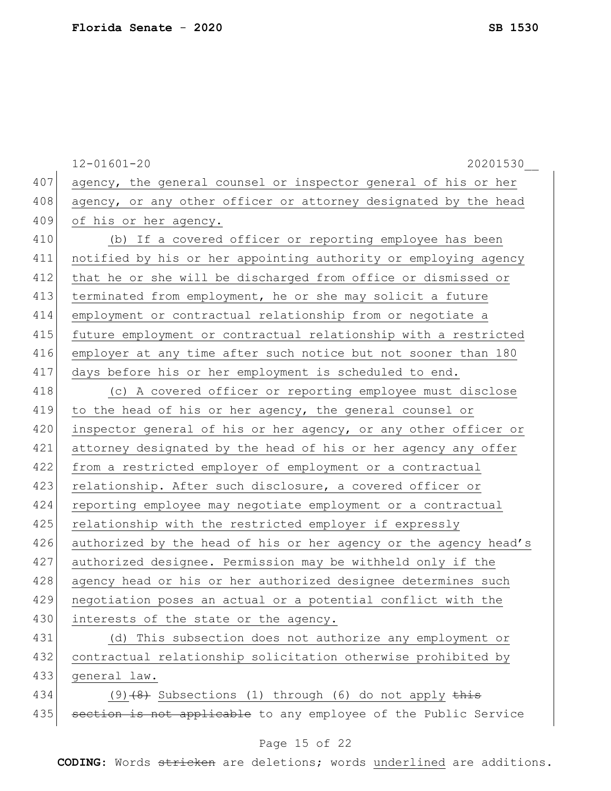12-01601-20 20201530\_\_ 407 agency, the general counsel or inspector general of his or her 408 agency, or any other officer or attorney designated by the head 409 of his or her agency. 410 (b) If a covered officer or reporting employee has been 411 notified by his or her appointing authority or employing agency 412 that he or she will be discharged from office or dismissed or 413 terminated from employment, he or she may solicit a future 414 employment or contractual relationship from or negotiate a 415 future employment or contractual relationship with a restricted 416 employer at any time after such notice but not sooner than 180 417 days before his or her employment is scheduled to end. 418 (c) A covered officer or reporting employee must disclose 419 to the head of his or her agency, the general counsel or 420 inspector general of his or her agency, or any other officer or 421 attorney designated by the head of his or her agency any offer 422 from a restricted employer of employment or a contractual 423 relationship. After such disclosure, a covered officer or 424 reporting employee may negotiate employment or a contractual 425 relationship with the restricted employer if expressly 426 authorized by the head of his or her agency or the agency head's 427 authorized designee. Permission may be withheld only if the 428 agency head or his or her authorized designee determines such 429 negotiation poses an actual or a potential conflict with the 430 interests of the state or the agency. 431 (d) This subsection does not authorize any employment or 432 contractual relationship solicitation otherwise prohibited by 433 general law. 434 (9)<del>(8)</del> Subsections (1) through (6) do not apply this 435 | section is not applicable to any employee of the Public Service

#### Page 15 of 22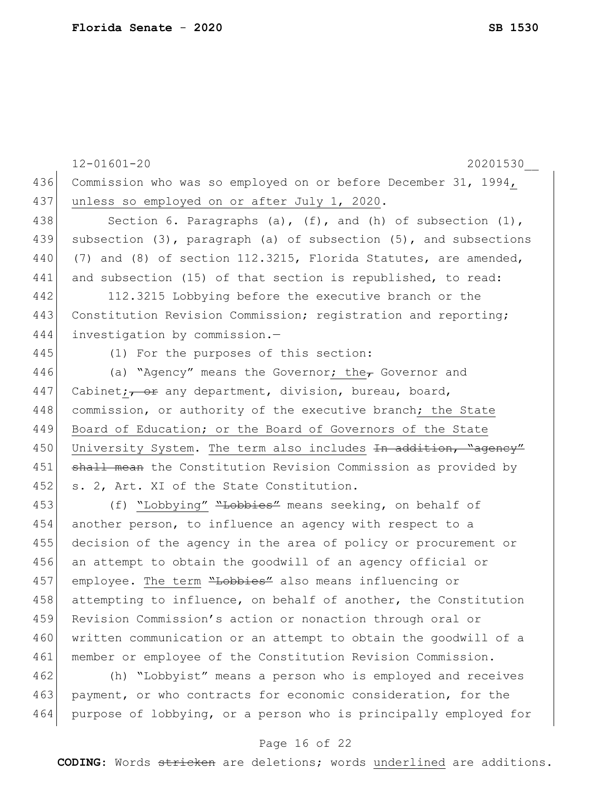12-01601-20 20201530\_\_ 436 Commission who was so employed on or before December 31, 1994, 437 unless so employed on or after July 1, 2020. 438 Section 6. Paragraphs (a),  $(f)$ , and (h) of subsection  $(1)$ , 439 subsection (3), paragraph (a) of subsection (5), and subsections 440 (7) and (8) of section 112.3215, Florida Statutes, are amended, 441 and subsection (15) of that section is republished, to read: 442 112.3215 Lobbying before the executive branch or the 443 Constitution Revision Commission; registration and reporting; 444 investigation by commission.— 445 (1) For the purposes of this section: 446 (a) "Agency" means the Governor; the Governor and 447 Cabinet;  $\frac{1}{\sqrt{1-\frac{1}{\sqrt{1-\frac{1}{\sqrt{1-\frac{1}{\sqrt{1-\frac{1}{\sqrt{1-\frac{1}{\sqrt{1-\frac{1}{\sqrt{1-\frac{1}{\sqrt{1-\frac{1}{\sqrt{1-\frac{1}{\sqrt{1-\frac{1}{\sqrt{1-\frac{1}{\sqrt{1-\frac{1}{\sqrt{1-\frac{1}{\sqrt{1-\frac{1}{\sqrt{1-\frac{1}{\sqrt{1-\frac{1}{\sqrt{1-\frac{1}{\sqrt{1-\frac{1}{\sqrt{1-\frac{1}{\sqrt{1-\frac{1}{\sqrt{1-\frac{1}{\sqrt{1-\frac{1}{\sqrt{1$ 448 commission, or authority of the executive branch; the State 449 Board of Education; or the Board of Governors of the State 450 University System. The term also includes In addition, "agency" 451 shall mean the Constitution Revision Commission as provided by 452 s. 2, Art. XI of the State Constitution. 453 (f) "Lobbying" "Lobbies" means seeking, on behalf of 454 another person, to influence an agency with respect to a 455 decision of the agency in the area of policy or procurement or 456 an attempt to obtain the goodwill of an agency official or 457 employee. The term "Lobbies" also means influencing or 458 attempting to influence, on behalf of another, the Constitution 459 Revision Commission's action or nonaction through oral or 460 written communication or an attempt to obtain the goodwill of a 461 member or employee of the Constitution Revision Commission. 462 (h) "Lobbyist" means a person who is employed and receives 463 payment, or who contracts for economic consideration, for the 464 purpose of lobbying, or a person who is principally employed for

#### Page 16 of 22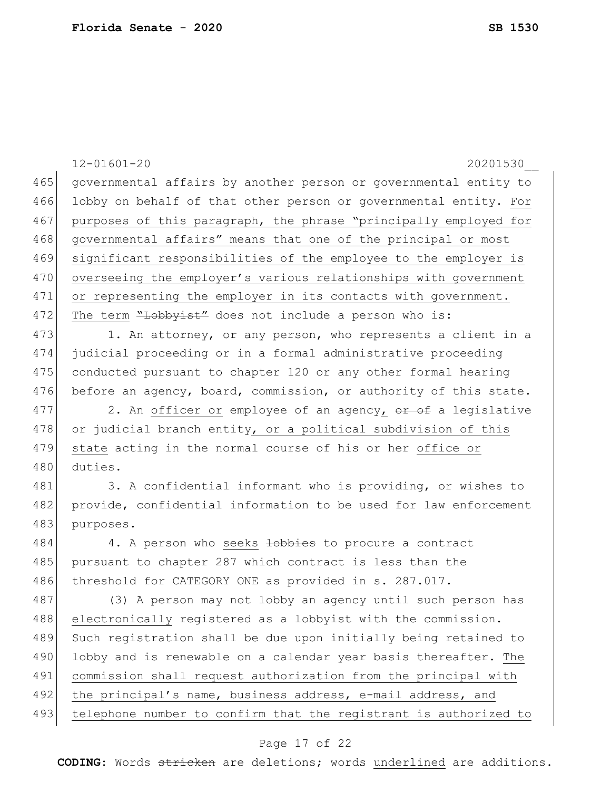|     | $12 - 01601 - 20$<br>20201530                                    |
|-----|------------------------------------------------------------------|
| 465 | governmental affairs by another person or governmental entity to |
| 466 | lobby on behalf of that other person or governmental entity. For |
| 467 | purposes of this paragraph, the phrase "principally employed for |
| 468 | governmental affairs" means that one of the principal or most    |
| 469 | significant responsibilities of the employee to the employer is  |
| 470 | overseeing the employer's various relationships with government  |
| 471 | or representing the employer in its contacts with government.    |
| 472 | The term "Lobbyist" does not include a person who is:            |
| 473 | 1. An attorney, or any person, who represents a client in a      |
| 474 | judicial proceeding or in a formal administrative proceeding     |
| 475 | conducted pursuant to chapter 120 or any other formal hearing    |
| 476 | before an agency, board, commission, or authority of this state. |
| 477 | 2. An officer or employee of an agency, or of a legislative      |
| 478 | or judicial branch entity, or a political subdivision of this    |
| 479 | state acting in the normal course of his or her office or        |
| 480 | duties.                                                          |
| 481 | 3. A confidential informant who is providing, or wishes to       |
| 482 | provide, confidential information to be used for law enforcement |
| 483 | purposes.                                                        |
| 484 | 4. A person who seeks lobbies to procure a contract              |
| 485 | pursuant to chapter 287 which contract is less than the          |
| 486 | threshold for CATEGORY ONE as provided in s. 287.017.            |
| 487 | (3) A person may not lobby an agency until such person has       |
| 488 | electronically registered as a lobbyist with the commission.     |
| 489 | Such registration shall be due upon initially being retained to  |
| 490 | lobby and is renewable on a calendar year basis thereafter. The  |
| 491 | commission shall request authorization from the principal with   |
| 492 | the principal's name, business address, e-mail address, and      |
| 493 | telephone number to confirm that the registrant is authorized to |
|     | Page 17 of 22                                                    |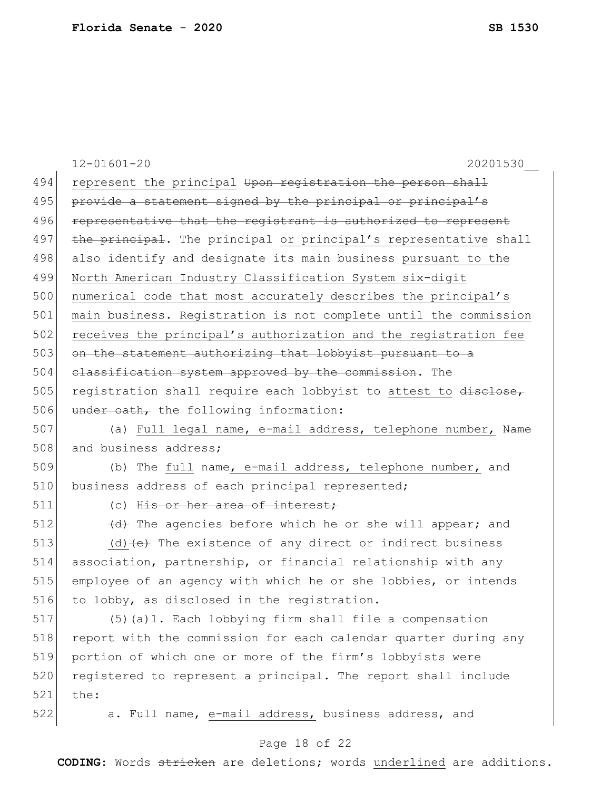|     | $12 - 01601 - 20$<br>20201530                                    |
|-----|------------------------------------------------------------------|
| 494 | represent the principal Upon registration the person shall       |
| 495 | provide a statement signed by the principal or principal's       |
| 496 | representative that the registrant is authorized to represent    |
| 497 | the principal. The principal or principal's representative shall |
| 498 | also identify and designate its main business pursuant to the    |
| 499 | North American Industry Classification System six-digit          |
| 500 | numerical code that most accurately describes the principal's    |
| 501 | main business. Registration is not complete until the commission |
| 502 | receives the principal's authorization and the registration fee  |
| 503 | on the statement authorizing that lobbyist pursuant to a         |
| 504 | classification system approved by the commission. The            |
| 505 | registration shall require each lobbyist to attest to disclose,  |
| 506 | under oath, the following information:                           |
| 507 | (a) Full legal name, e-mail address, telephone number, Name      |
| 508 | and business address;                                            |
| 509 | (b) The full name, e-mail address, telephone number, and         |
| 510 | business address of each principal represented;                  |
| 511 | (c) His or her area of interest;                                 |
| 512 | (d) The agencies before which he or she will appear; and         |
| 513 | (d) $(e)$ The existence of any direct or indirect business       |
| 514 | association, partnership, or financial relationship with any     |
| 515 | employee of an agency with which he or she lobbies, or intends   |
| 516 | to lobby, as disclosed in the registration.                      |
| 517 | (5) (a) 1. Each lobbying firm shall file a compensation          |
| 518 | report with the commission for each calendar quarter during any  |
| 519 | portion of which one or more of the firm's lobbyists were        |
| 520 | registered to represent a principal. The report shall include    |
| 521 | the:                                                             |
| 522 | a. Full name, e-mail address, business address, and              |
|     | Page 18 of 22                                                    |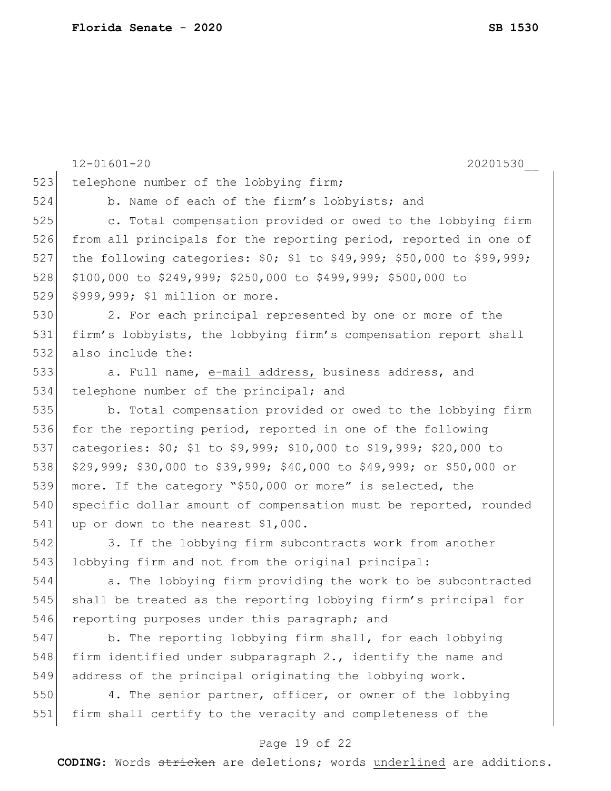12-01601-20 20201530\_\_ 523 telephone number of the lobbying firm; 524 b. Name of each of the firm's lobbyists; and 525 c. Total compensation provided or owed to the lobbying firm 526 from all principals for the reporting period, reported in one of 527 the following categories: \$0; \$1 to \$49,999; \$50,000 to \$99,999; 528 \$100,000 to \$249,999; \$250,000 to \$499,999; \$500,000 to 529 \$999,999; \$1 million or more. 530 2. For each principal represented by one or more of the 531 firm's lobbyists, the lobbying firm's compensation report shall 532 also include the: 533 a. Full name, e-mail address, business address, and 534 telephone number of the principal; and 535 b. Total compensation provided or owed to the lobbying firm 536 for the reporting period, reported in one of the following 537 categories: \$0; \$1 to \$9,999; \$10,000 to \$19,999; \$20,000 to 538 \$29,999; \$30,000 to \$39,999; \$40,000 to \$49,999; or \$50,000 or 539 more. If the category "\$50,000 or more" is selected, the 540 specific dollar amount of compensation must be reported, rounded 541 up or down to the nearest \$1,000. 542 3. If the lobbying firm subcontracts work from another 543 lobbying firm and not from the original principal: 544 a. The lobbying firm providing the work to be subcontracted 545 shall be treated as the reporting lobbying firm's principal for 546 reporting purposes under this paragraph; and 547 b. The reporting lobbying firm shall, for each lobbying 548 firm identified under subparagraph  $2.$ , identify the name and 549 address of the principal originating the lobbying work. 550 4. The senior partner, officer, or owner of the lobbying 551 firm shall certify to the veracity and completeness of the

#### Page 19 of 22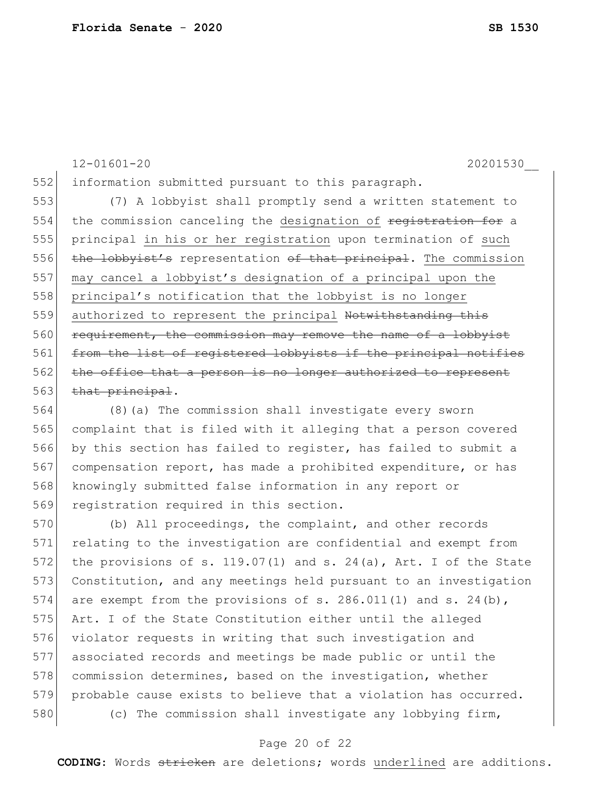12-01601-20 20201530\_\_

552 information submitted pursuant to this paragraph.

553 (7) A lobbyist shall promptly send a written statement to 554 the commission canceling the designation of registration for a 555 principal in his or her registration upon termination of such 556 the lobbyist's representation of that principal. The commission 557 may cancel a lobbyist's designation of a principal upon the 558 principal's notification that the lobbyist is no longer 559 authorized to represent the principal Notwithstanding this 560 requirement, the commission may remove the name of a lobbyist 561 from the list of registered lobbyists if the principal notifies 562 the office that a person is no longer authorized to represent 563 that principal.

 (8)(a) The commission shall investigate every sworn complaint that is filed with it alleging that a person covered by this section has failed to register, has failed to submit a 567 compensation report, has made a prohibited expenditure, or has knowingly submitted false information in any report or 569 registration required in this section.

570 (b) All proceedings, the complaint, and other records 571 relating to the investigation are confidential and exempt from 572 the provisions of s. 119.07(1) and s. 24(a), Art. I of the State 573 Constitution, and any meetings held pursuant to an investigation 574 are exempt from the provisions of s. 286.011(1) and s. 24(b), 575 Art. I of the State Constitution either until the alleged 576 violator requests in writing that such investigation and 577 associated records and meetings be made public or until the 578 commission determines, based on the investigation, whether 579 probable cause exists to believe that a violation has occurred. 580 (c) The commission shall investigate any lobbying firm,

#### Page 20 of 22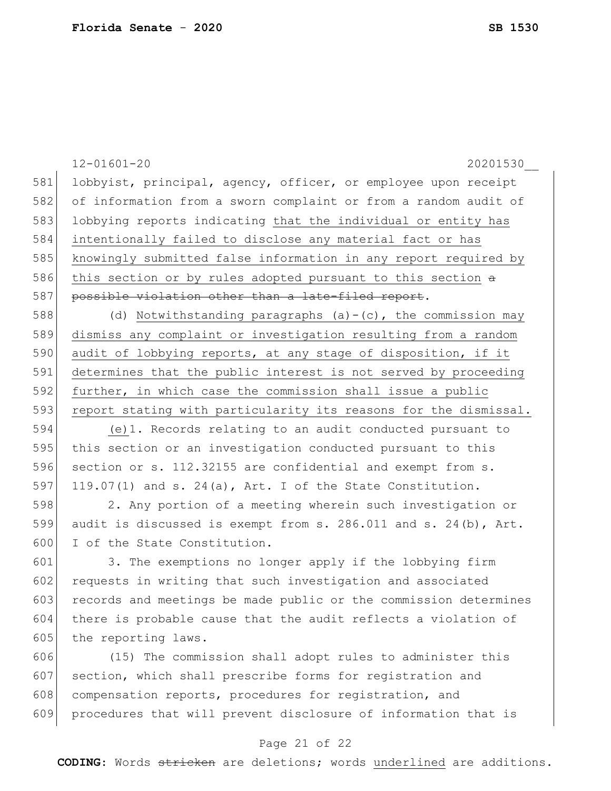|     | $12 - 01601 - 20$<br>20201530                                    |
|-----|------------------------------------------------------------------|
| 581 | lobbyist, principal, agency, officer, or employee upon receipt   |
| 582 | of information from a sworn complaint or from a random audit of  |
| 583 | lobbying reports indicating that the individual or entity has    |
| 584 | intentionally failed to disclose any material fact or has        |
| 585 | knowingly submitted false information in any report required by  |
| 586 | this section or by rules adopted pursuant to this section a      |
| 587 | possible violation other than a late-filed report.               |
| 588 | (d) Notwithstanding paragraphs $(a) - (c)$ , the commission may  |
| 589 | dismiss any complaint or investigation resulting from a random   |
| 590 | audit of lobbying reports, at any stage of disposition, if it    |
| 591 | determines that the public interest is not served by proceeding  |
| 592 | further, in which case the commission shall issue a public       |
| 593 | report stating with particularity its reasons for the dismissal. |
| 594 | (e) 1. Records relating to an audit conducted pursuant to        |
| 595 | this section or an investigation conducted pursuant to this      |
| 596 | section or s. 112.32155 are confidential and exempt from s.      |
| 597 | 119.07(1) and s. 24(a), Art. I of the State Constitution.        |
| 598 | 2. Any portion of a meeting wherein such investigation or        |
| 599 | audit is discussed is exempt from s. 286.011 and s. 24(b), Art.  |
| 600 | I of the State Constitution.                                     |
| 601 | 3. The exemptions no longer apply if the lobbying firm           |
| 602 | requests in writing that such investigation and associated       |
| 603 | records and meetings be made public or the commission determines |
| 604 | there is probable cause that the audit reflects a violation of   |
| 605 | the reporting laws.                                              |
| 606 | (15) The commission shall adopt rules to administer this         |
| 607 | section, which shall prescribe forms for registration and        |
| 608 | compensation reports, procedures for registration, and           |
| 609 | procedures that will prevent disclosure of information that is   |
|     |                                                                  |

# Page 21 of 22